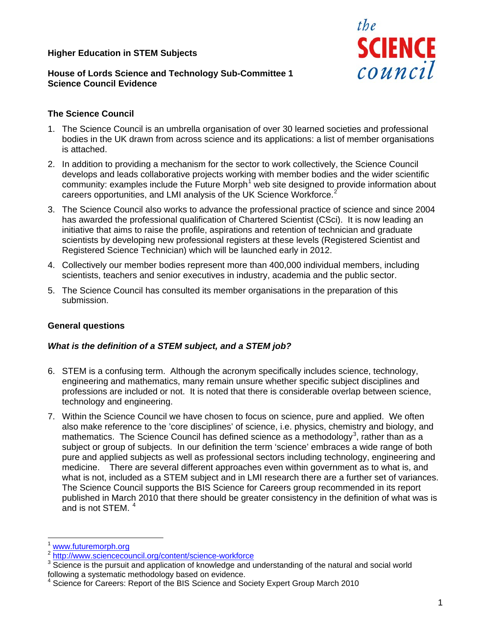## **Higher Education in STEM Subjects**



## **House of Lords Science and Technology Sub-Committee 1 Science Council Evidence**

## **The Science Council**

- 1. The Science Council is an umbrella organisation of over 30 learned societies and professional bodies in the UK drawn from across science and its applications: a list of member organisations is attached.
- 2. In addition to providing a mechanism for the sector to work collectively, the Science Council develops and leads collaborative projects working with member bodies and the wider scientific community: examples include the Future Morph<sup>[1](#page-0-0)</sup> web site designed to provide information about careers opportunities, and LMI analysis of the UK Science Workforce.<sup>[2](#page-0-1)</sup>
- 3. The Science Council also works to advance the professional practice of science and since 2004 has awarded the professional qualification of Chartered Scientist (CSci). It is now leading an initiative that aims to raise the profile, aspirations and retention of technician and graduate scientists by developing new professional registers at these levels (Registered Scientist and Registered Science Technician) which will be launched early in 2012.
- 4. Collectively our member bodies represent more than 400,000 individual members, including scientists, teachers and senior executives in industry, academia and the public sector.
- 5. The Science Council has consulted its member organisations in the preparation of this submission.

## **General questions**

## *What is the definition of a STEM subject, and a STEM job?*

- 6. STEM is a confusing term. Although the acronym specifically includes science, technology, engineering and mathematics, many remain unsure whether specific subject disciplines and professions are included or not. It is noted that there is considerable overlap between science, technology and engineering.
- 7. Within the Science Council we have chosen to focus on science, pure and applied. We often also make reference to the 'core disciplines' of science, i.e. physics, chemistry and biology, and mathematics. The Science Council has defined science as a methodology<sup>[3](#page-0-2)</sup>, rather than as a subject or group of subjects. In our definition the term 'science' embraces a wide range of both pure and applied subjects as well as professional sectors including technology, engineering and medicine. There are several different approaches even within government as to what is, and what is not, included as a STEM subject and in LMI research there are a further set of variances. The Science Council supports the BIS Science for Careers group recommended in its report published in March 2010 that there should be greater consistency in the definition of what was is and is not STEM. [4](#page-0-3)

-

<span id="page-0-0"></span>www.futuremorph.org<br>http://www.sciencecouncil.org/content/science-workforce

<span id="page-0-2"></span><span id="page-0-1"></span>Science is the pursuit and application of knowledge and understanding of the natural and social world following a systematic methodology based on evidence.

<span id="page-0-3"></span><sup>4</sup> Science for Careers: Report of the BIS Science and Society Expert Group March 2010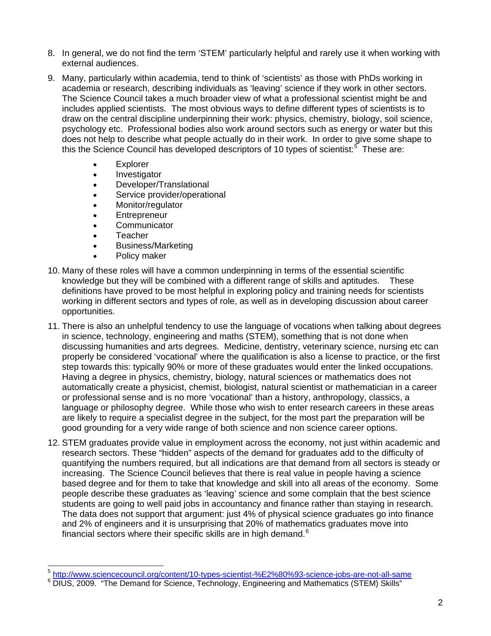- 8. In general, we do not find the term 'STEM' particularly helpful and rarely use it when working with external audiences.
- 9. Many, particularly within academia, tend to think of 'scientists' as those with PhDs working in academia or research, describing individuals as 'leaving' science if they work in other sectors. The Science Council takes a much broader view of what a professional scientist might be and includes applied scientists. The most obvious ways to define different types of scientists is to draw on the central discipline underpinning their work: physics, chemistry, biology, soil science, psychology etc. Professional bodies also work around sectors such as energy or water but this does not help to describe what people actually do in their work. In order to give some shape to this the Science Council has developed descriptors of 10 types of scientist:<sup>[5](#page-1-0)</sup> These are:
	- **Explorer**
	- Investigator
	- Developer/Translational
	- Service provider/operational
	- Monitor/regulator
	- **Entrepreneur**
	- **Communicator**
	- Teacher

-

- Business/Marketing
- Policy maker
- 10. Many of these roles will have a common underpinning in terms of the essential scientific knowledge but they will be combined with a different range of skills and aptitudes. These definitions have proved to be most helpful in exploring policy and training needs for scientists working in different sectors and types of role, as well as in developing discussion about career opportunities.
- 11. There is also an unhelpful tendency to use the language of vocations when talking about degrees in science, technology, engineering and maths (STEM), something that is not done when discussing humanities and arts degrees. Medicine, dentistry, veterinary science, nursing etc can properly be considered 'vocational' where the qualification is also a license to practice, or the first step towards this: typically 90% or more of these graduates would enter the linked occupations. Having a degree in physics, chemistry, biology, natural sciences or mathematics does not automatically create a physicist, chemist, biologist, natural scientist or mathematician in a career or professional sense and is no more 'vocational' than a history, anthropology, classics, a language or philosophy degree. While those who wish to enter research careers in these areas are likely to require a specialist degree in the subject, for the most part the preparation will be good grounding for a very wide range of both science and non science career options.
- 12. STEM graduates provide value in employment across the economy, not just within academic and research sectors. These "hidden" aspects of the demand for graduates add to the difficulty of quantifying the numbers required, but all indications are that demand from all sectors is steady or increasing. The Science Council believes that there is real value in people having a science based degree and for them to take that knowledge and skill into all areas of the economy. Some people describe these graduates as 'leaving' science and some complain that the best science students are going to well paid jobs in accountancy and finance rather than staying in research. The data does not support that argument: just 4% of physical science graduates go into finance and 2% of engineers and it is unsurprising that 20% of mathematics graduates move into financial sectors where their specific skills are in high demand.<sup>[6](#page-1-1)</sup>

<span id="page-1-0"></span><sup>5</sup> http://www.sciencecouncil.org/content/10-types-scientist-%E2%80%93-science-jobs-are-not-all-same 6

<span id="page-1-1"></span><sup>&</sup>lt;sup>6</sup> DIUS, 2009. "The Demand for Science, Technology, Engineering and Mathematics (STEM) Skills"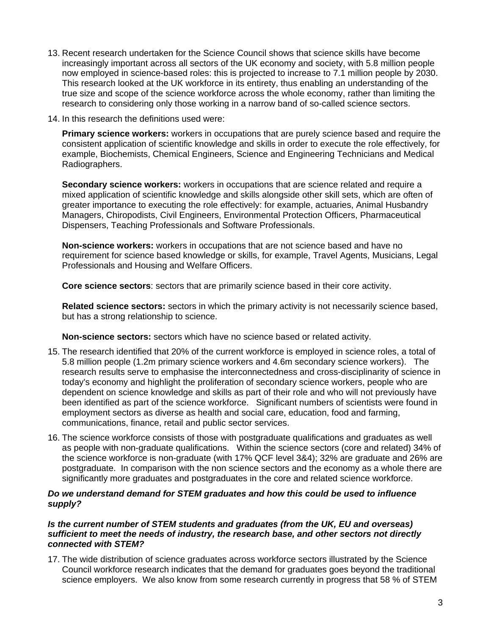- 13. Recent research undertaken for the Science Council shows that science skills have become increasingly important across all sectors of the UK economy and society, with 5.8 million people now employed in science-based roles: this is projected to increase to 7.1 million people by 2030. This research looked at the UK workforce in its entirety, thus enabling an understanding of the true size and scope of the science workforce across the whole economy, rather than limiting the research to considering only those working in a narrow band of so-called science sectors.
- 14. In this research the definitions used were:

**Primary science workers:** workers in occupations that are purely science based and require the consistent application of scientific knowledge and skills in order to execute the role effectively, for example, Biochemists, Chemical Engineers, Science and Engineering Technicians and Medical Radiographers.

**Secondary science workers:** workers in occupations that are science related and require a mixed application of scientific knowledge and skills alongside other skill sets, which are often of greater importance to executing the role effectively: for example, actuaries, Animal Husbandry Managers, Chiropodists, Civil Engineers, Environmental Protection Officers, Pharmaceutical Dispensers, Teaching Professionals and Software Professionals.

**Non-science workers:** workers in occupations that are not science based and have no requirement for science based knowledge or skills, for example, Travel Agents, Musicians, Legal Professionals and Housing and Welfare Officers.

**Core science sectors**: sectors that are primarily science based in their core activity.

**Related science sectors:** sectors in which the primary activity is not necessarily science based, but has a strong relationship to science.

**Non-science sectors:** sectors which have no science based or related activity.

- 15. The research identified that 20% of the current workforce is employed in science roles, a total of 5.8 million people (1.2m primary science workers and 4.6m secondary science workers). The research results serve to emphasise the interconnectedness and cross-disciplinarity of science in today's economy and highlight the proliferation of secondary science workers, people who are dependent on science knowledge and skills as part of their role and who will not previously have been identified as part of the science workforce. Significant numbers of scientists were found in employment sectors as diverse as health and social care, education, food and farming, communications, finance, retail and public sector services.
- 16. The science workforce consists of those with postgraduate qualifications and graduates as well as people with non-graduate qualifications. Within the science sectors (core and related) 34% of the science workforce is non-graduate (with 17% QCF level 3&4); 32% are graduate and 26% are postgraduate. In comparison with the non science sectors and the economy as a whole there are significantly more graduates and postgraduates in the core and related science workforce.

#### *Do we understand demand for STEM graduates and how this could be used to influence supply?*

#### *Is the current number of STEM students and graduates (from the UK, EU and overseas) sufficient to meet the needs of industry, the research base, and other sectors not directly connected with STEM?*

17. The wide distribution of science graduates across workforce sectors illustrated by the Science Council workforce research indicates that the demand for graduates goes beyond the traditional science employers. We also know from some research currently in progress that 58 % of STEM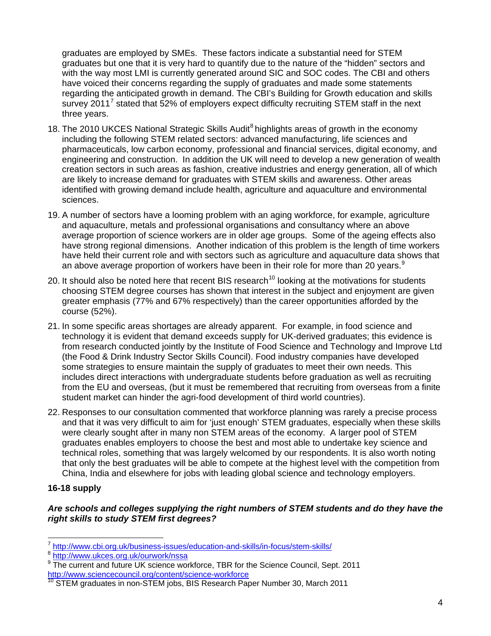graduates are employed by SMEs. These factors indicate a substantial need for STEM graduates but one that it is very hard to quantify due to the nature of the "hidden" sectors and with the way most LMI is currently generated around SIC and SOC codes. The CBI and others have voiced their concerns regarding the supply of graduates and made some statements regarding the anticipated growth in demand. The CBI's Building for Growth education and skills survey 2011<sup>[7](#page-3-0)</sup> stated that 52% of employers expect difficulty recruiting STEM staff in the next three years.

- 18. The 2010 UKCES National Strategic Skills Audit<sup>8</sup> highlights areas of growth in the economy including the following STEM related sectors: advanced manufacturing, life sciences and pharmaceuticals, low carbon economy, professional and financial services, digital economy, and engineering and construction. In addition the UK will need to develop a new generation of wealth creation sectors in such areas as fashion, creative industries and energy generation, all of which are likely to increase demand for graduates with STEM skills and awareness. Other areas identified with growing demand include health, agriculture and aquaculture and environmental sciences.
- 19. A number of sectors have a looming problem with an aging workforce, for example, agriculture and aquaculture, metals and professional organisations and consultancy where an above average proportion of science workers are in older age groups. Some of the ageing effects also have strong regional dimensions. Another indication of this problem is the length of time workers have held their current role and with sectors such as agriculture and aquaculture data shows that an above average proportion of workers have been in their role for more than 20 years. $9$
- 20. It should also be noted here that recent BIS research<sup>[10](#page-3-3)</sup> looking at the motivations for students choosing STEM degree courses has shown that interest in the subject and enjoyment are given greater emphasis (77% and 67% respectively) than the career opportunities afforded by the course (52%).
- 21. In some specific areas shortages are already apparent. For example, in food science and technology it is evident that demand exceeds supply for UK-derived graduates; this evidence is from research conducted jointly by the Institute of Food Science and Technology and Improve Ltd (the Food & Drink Industry Sector Skills Council). Food industry companies have developed some strategies to ensure maintain the supply of graduates to meet their own needs. This includes direct interactions with undergraduate students before graduation as well as recruiting from the EU and overseas, (but it must be remembered that recruiting from overseas from a finite student market can hinder the agri-food development of third world countries).
- 22. Responses to our consultation commented that workforce planning was rarely a precise process and that it was very difficult to aim for 'just enough' STEM graduates, especially when these skills were clearly sought after in many non STEM areas of the economy. A larger pool of STEM graduates enables employers to choose the best and most able to undertake key science and technical roles, something that was largely welcomed by our respondents. It is also worth noting that only the best graduates will be able to compete at the highest level with the competition from China, India and elsewhere for jobs with leading global science and technology employers.

# **16-18 supply**

## *Are schools and colleges supplying the right numbers of STEM students and do they have the right skills to study STEM first degrees?*

<span id="page-3-0"></span><sup>-</sup><sup>7</sup> http://www.cbi.org.uk/business-issues/education-and-skills/in-focus/stem-skills/<br><sup>8</sup> http://www.ukces.org.uk/ourwork/nssa

<span id="page-3-1"></span>

<span id="page-3-2"></span><sup>&</sup>lt;sup>9</sup> The current and future UK science workforce, TBR for the Science Council, Sept. 2011 http://www.sciencecouncil.org/content/science-workforce

<span id="page-3-3"></span> $\overline{10}$  STEM graduates in non-STEM jobs, BIS Research Paper Number 30, March 2011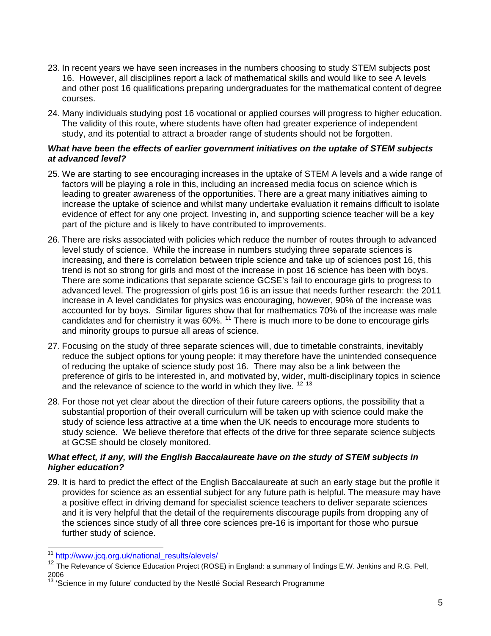- 23. In recent years we have seen increases in the numbers choosing to study STEM subjects post 16. However, all disciplines report a lack of mathematical skills and would like to see A levels and other post 16 qualifications preparing undergraduates for the mathematical content of degree courses.
- 24. Many individuals studying post 16 vocational or applied courses will progress to higher education. The validity of this route, where students have often had greater experience of independent study, and its potential to attract a broader range of students should not be forgotten.

### *What have been the effects of earlier government initiatives on the uptake of STEM subjects at advanced level?*

- 25. We are starting to see encouraging increases in the uptake of STEM A levels and a wide range of factors will be playing a role in this, including an increased media focus on science which is leading to greater awareness of the opportunities. There are a great many initiatives aiming to increase the uptake of science and whilst many undertake evaluation it remains difficult to isolate evidence of effect for any one project. Investing in, and supporting science teacher will be a key part of the picture and is likely to have contributed to improvements.
- 26. There are risks associated with policies which reduce the number of routes through to advanced level study of science. While the increase in numbers studying three separate sciences is increasing, and there is correlation between triple science and take up of sciences post 16, this trend is not so strong for girls and most of the increase in post 16 science has been with boys. There are some indications that separate science GCSE's fail to encourage girls to progress to advanced level. The progression of girls post 16 is an issue that needs further research: the 2011 increase in A level candidates for physics was encouraging, however, 90% of the increase was accounted for by boys. Similar figures show that for mathematics 70% of the increase was male candidates and for chemistry it was 60%. [11](#page-4-0) There is much more to be done to encourage girls and minority groups to pursue all areas of science.
- 27. Focusing on the study of three separate sciences will, due to timetable constraints, inevitably reduce the subject options for young people: it may therefore have the unintended consequence of reducing the uptake of science study post 16. There may also be a link between the preference of girls to be interested in, and motivated by, wider, multi-disciplinary topics in science and the relevance of science to the world in which they live.  $12^{12}$  $12^{12}$  [13](#page-4-2)
- 28. For those not yet clear about the direction of their future careers options, the possibility that a substantial proportion of their overall curriculum will be taken up with science could make the study of science less attractive at a time when the UK needs to encourage more students to study science. We believe therefore that effects of the drive for three separate science subjects at GCSE should be closely monitored.

## *What effect, if any, will the English Baccalaureate have on the study of STEM subjects in higher education?*

29. It is hard to predict the effect of the English Baccalaureate at such an early stage but the profile it provides for science as an essential subject for any future path is helpful. The measure may have a positive effect in driving demand for specialist science teachers to deliver separate sciences and it is very helpful that the detail of the requirements discourage pupils from dropping any of the sciences since study of all three core sciences pre-16 is important for those who pursue further study of science.

-

<span id="page-4-0"></span><sup>&</sup>lt;sup>11</sup> http://www.jcq.org.uk/national\_results/alevels/

<span id="page-4-1"></span><sup>&</sup>lt;sup>12</sup> The Relevance of Science Education Project (ROSE) in England: a summary of findings E.W. Jenkins and R.G. Pell, 2006

<span id="page-4-2"></span><sup>13 &#</sup>x27;Science in my future' conducted by the Nestlé Social Research Programme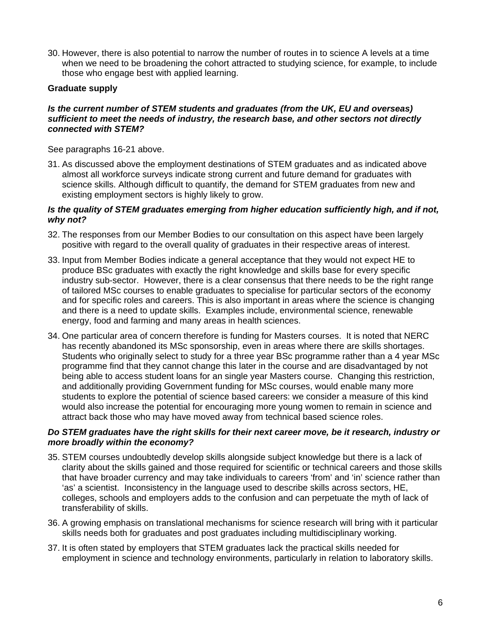30. However, there is also potential to narrow the number of routes in to science A levels at a time when we need to be broadening the cohort attracted to studying science, for example, to include those who engage best with applied learning.

## **Graduate supply**

### *Is the current number of STEM students and graduates (from the UK, EU and overseas) sufficient to meet the needs of industry, the research base, and other sectors not directly connected with STEM?*

See paragraphs 16-21 above.

31. As discussed above the employment destinations of STEM graduates and as indicated above almost all workforce surveys indicate strong current and future demand for graduates with science skills. Although difficult to quantify, the demand for STEM graduates from new and existing employment sectors is highly likely to grow.

#### *Is the quality of STEM graduates emerging from higher education sufficiently high, and if not, why not?*

- 32. The responses from our Member Bodies to our consultation on this aspect have been largely positive with regard to the overall quality of graduates in their respective areas of interest.
- 33. Input from Member Bodies indicate a general acceptance that they would not expect HE to produce BSc graduates with exactly the right knowledge and skills base for every specific industry sub-sector. However, there is a clear consensus that there needs to be the right range of tailored MSc courses to enable graduates to specialise for particular sectors of the economy and for specific roles and careers. This is also important in areas where the science is changing and there is a need to update skills. Examples include, environmental science, renewable energy, food and farming and many areas in health sciences.
- 34. One particular area of concern therefore is funding for Masters courses. It is noted that NERC has recently abandoned its MSc sponsorship, even in areas where there are skills shortages. Students who originally select to study for a three year BSc programme rather than a 4 year MSc programme find that they cannot change this later in the course and are disadvantaged by not being able to access student loans for an single year Masters course. Changing this restriction, and additionally providing Government funding for MSc courses, would enable many more students to explore the potential of science based careers: we consider a measure of this kind would also increase the potential for encouraging more young women to remain in science and attract back those who may have moved away from technical based science roles.

#### *Do STEM graduates have the right skills for their next career move, be it research, industry or more broadly within the economy?*

- 35. STEM courses undoubtedly develop skills alongside subject knowledge but there is a lack of clarity about the skills gained and those required for scientific or technical careers and those skills that have broader currency and may take individuals to careers 'from' and 'in' science rather than 'as' a scientist. Inconsistency in the language used to describe skills across sectors, HE, colleges, schools and employers adds to the confusion and can perpetuate the myth of lack of transferability of skills.
- 36. A growing emphasis on translational mechanisms for science research will bring with it particular skills needs both for graduates and post graduates including multidisciplinary working.
- 37. It is often stated by employers that STEM graduates lack the practical skills needed for employment in science and technology environments, particularly in relation to laboratory skills.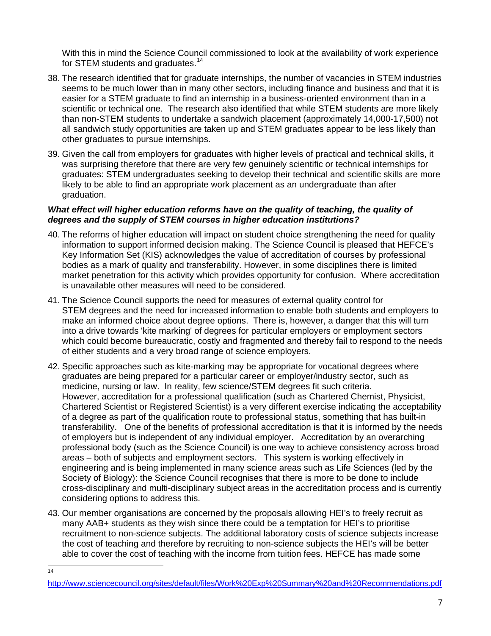With this in mind the Science Council commissioned to look at the availability of work experience for STEM students and graduates.<sup>[14](#page-6-0)</sup>

- 38. The research identified that for graduate internships, the number of vacancies in STEM industries seems to be much lower than in many other sectors, including finance and business and that it is easier for a STEM graduate to find an internship in a business-oriented environment than in a scientific or technical one. The research also identified that while STEM students are more likely than non-STEM students to undertake a sandwich placement (approximately 14,000-17,500) not all sandwich study opportunities are taken up and STEM graduates appear to be less likely than other graduates to pursue internships.
- 39. Given the call from employers for graduates with higher levels of practical and technical skills, it was surprising therefore that there are very few genuinely scientific or technical internships for graduates: STEM undergraduates seeking to develop their technical and scientific skills are more likely to be able to find an appropriate work placement as an undergraduate than after graduation.

### *What effect will higher education reforms have on the quality of teaching, the quality of degrees and the supply of STEM courses in higher education institutions?*

- 40. The reforms of higher education will impact on student choice strengthening the need for quality information to support informed decision making. The Science Council is pleased that HEFCE's Key Information Set (KIS) acknowledges the value of accreditation of courses by professional bodies as a mark of quality and transferability. However, in some disciplines there is limited market penetration for this activity which provides opportunity for confusion. Where accreditation is unavailable other measures will need to be considered.
- 41. The Science Council supports the need for measures of external quality control for STEM degrees and the need for increased information to enable both students and employers to make an informed choice about degree options. There is, however, a danger that this will turn into a drive towards 'kite marking' of degrees for particular employers or employment sectors which could become bureaucratic, costly and fragmented and thereby fail to respond to the needs of either students and a very broad range of science employers.
- 42. Specific approaches such as kite-marking may be appropriate for vocational degrees where graduates are being prepared for a particular career or employer/industry sector, such as medicine, nursing or law. In reality, few science/STEM degrees fit such criteria. However, accreditation for a professional qualification (such as Chartered Chemist, Physicist, Chartered Scientist or Registered Scientist) is a very different exercise indicating the acceptability of a degree as part of the qualification route to professional status, something that has built-in transferability. One of the benefits of professional accreditation is that it is informed by the needs of employers but is independent of any individual employer. Accreditation by an overarching professional body (such as the Science Council) is one way to achieve consistency across broad areas – both of subjects and employment sectors. This system is working effectively in engineering and is being implemented in many science areas such as Life Sciences (led by the Society of Biology): the Science Council recognises that there is more to be done to include cross-disciplinary and multi-disciplinary subject areas in the accreditation process and is currently considering options to address this.
- 43. Our member organisations are concerned by the proposals allowing HEI's to freely recruit as many AAB+ students as they wish since there could be a temptation for HEI's to prioritise recruitment to non-science subjects. The additional laboratory costs of science subjects increase the cost of teaching and therefore by recruiting to non-science subjects the HEI's will be better able to cover the cost of teaching with the income from tuition fees. HEFCE has made some

 $\frac{1}{14}$ 

<span id="page-6-0"></span>http://www.sciencecouncil.org/sites/default/files/Work%20Exp%20Summary%20and%20Recommendations.pdf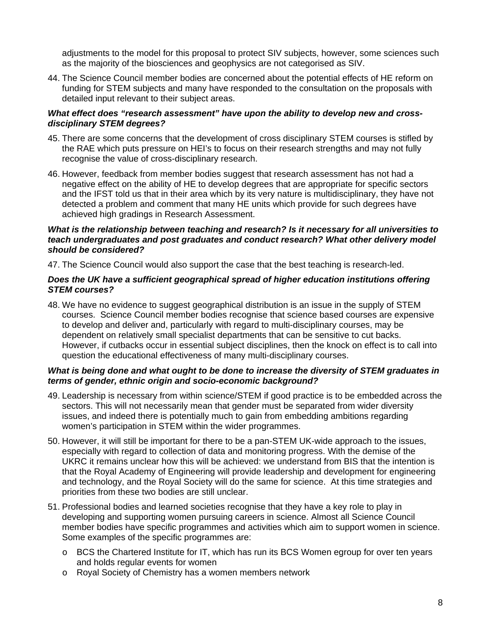adjustments to the model for this proposal to protect SIV subjects, however, some sciences such as the majority of the biosciences and geophysics are not categorised as SIV.

44. The Science Council member bodies are concerned about the potential effects of HE reform on funding for STEM subjects and many have responded to the consultation on the proposals with detailed input relevant to their subject areas.

### *What effect does "research assessment" have upon the ability to develop new and crossdisciplinary STEM degrees?*

- 45. There are some concerns that the development of cross disciplinary STEM courses is stifled by the RAE which puts pressure on HEI's to focus on their research strengths and may not fully recognise the value of cross-disciplinary research.
- 46. However, feedback from member bodies suggest that research assessment has not had a negative effect on the ability of HE to develop degrees that are appropriate for specific sectors and the IFST told us that in their area which by its very nature is multidisciplinary, they have not detected a problem and comment that many HE units which provide for such degrees have achieved high gradings in Research Assessment.

#### *What is the relationship between teaching and research? Is it necessary for all universities to teach undergraduates and post graduates and conduct research? What other delivery model should be considered?*

47. The Science Council would also support the case that the best teaching is research-led.

#### *Does the UK have a sufficient geographical spread of higher education institutions offering STEM courses?*

48. We have no evidence to suggest geographical distribution is an issue in the supply of STEM courses. Science Council member bodies recognise that science based courses are expensive to develop and deliver and, particularly with regard to multi-disciplinary courses, may be dependent on relatively small specialist departments that can be sensitive to cut backs. However, if cutbacks occur in essential subject disciplines, then the knock on effect is to call into question the educational effectiveness of many multi-disciplinary courses.

## *What is being done and what ought to be done to increase the diversity of STEM graduates in terms of gender, ethnic origin and socio-economic background?*

- 49. Leadership is necessary from within science/STEM if good practice is to be embedded across the sectors. This will not necessarily mean that gender must be separated from wider diversity issues, and indeed there is potentially much to gain from embedding ambitions regarding women's participation in STEM within the wider programmes.
- 50. However, it will still be important for there to be a pan-STEM UK-wide approach to the issues, especially with regard to collection of data and monitoring progress. With the demise of the UKRC it remains unclear how this will be achieved: we understand from BIS that the intention is that the Royal Academy of Engineering will provide leadership and development for engineering and technology, and the Royal Society will do the same for science. At this time strategies and priorities from these two bodies are still unclear.
- 51. Professional bodies and learned societies recognise that they have a key role to play in developing and supporting women pursuing careers in science. Almost all Science Council member bodies have specific programmes and activities which aim to support women in science. Some examples of the specific programmes are:
	- o BCS the Chartered Institute for IT, which has run its BCS Women egroup for over ten years and holds regular events for women
	- o Royal Society of Chemistry has a women members network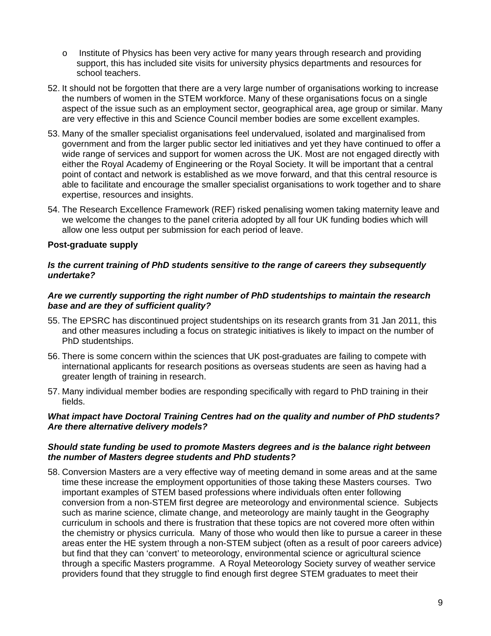- o Institute of Physics has been very active for many years through research and providing support, this has included site visits for university physics departments and resources for school teachers.
- 52. It should not be forgotten that there are a very large number of organisations working to increase the numbers of women in the STEM workforce. Many of these organisations focus on a single aspect of the issue such as an employment sector, geographical area, age group or similar. Many are very effective in this and Science Council member bodies are some excellent examples.
- 53. Many of the smaller specialist organisations feel undervalued, isolated and marginalised from government and from the larger public sector led initiatives and yet they have continued to offer a wide range of services and support for women across the UK. Most are not engaged directly with either the Royal Academy of Engineering or the Royal Society. It will be important that a central point of contact and network is established as we move forward, and that this central resource is able to facilitate and encourage the smaller specialist organisations to work together and to share expertise, resources and insights.
- 54. The Research Excellence Framework (REF) risked penalising women taking maternity leave and we welcome the changes to the panel criteria adopted by all four UK funding bodies which will allow one less output per submission for each period of leave.

## **Post-graduate supply**

#### *Is the current training of PhD students sensitive to the range of careers they subsequently undertake?*

#### *Are we currently supporting the right number of PhD studentships to maintain the research base and are they of sufficient quality?*

- 55. The EPSRC has discontinued project studentships on its research grants from 31 Jan 2011, this and other measures including a focus on strategic initiatives is likely to impact on the number of PhD studentships.
- 56. There is some concern within the sciences that UK post-graduates are failing to compete with international applicants for research positions as overseas students are seen as having had a greater length of training in research.
- 57. Many individual member bodies are responding specifically with regard to PhD training in their fields.

#### *What impact have Doctoral Training Centres had on the quality and number of PhD students? Are there alternative delivery models?*

#### *Should state funding be used to promote Masters degrees and is the balance right between the number of Masters degree students and PhD students?*

58. Conversion Masters are a very effective way of meeting demand in some areas and at the same time these increase the employment opportunities of those taking these Masters courses. Two important examples of STEM based professions where individuals often enter following conversion from a non-STEM first degree are meteorology and environmental science. Subjects such as marine science, climate change, and meteorology are mainly taught in the Geography curriculum in schools and there is frustration that these topics are not covered more often within the chemistry or physics curricula. Many of those who would then like to pursue a career in these areas enter the HE system through a non-STEM subject (often as a result of poor careers advice) but find that they can 'convert' to meteorology, environmental science or agricultural science through a specific Masters programme. A Royal Meteorology Society survey of weather service providers found that they struggle to find enough first degree STEM graduates to meet their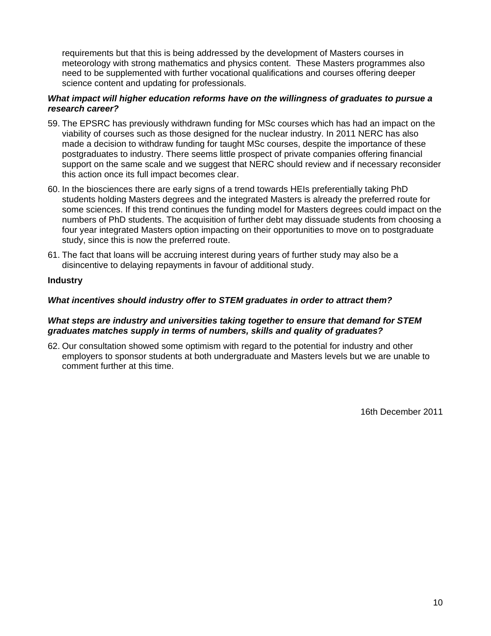requirements but that this is being addressed by the development of Masters courses in meteorology with strong mathematics and physics content. These Masters programmes also need to be supplemented with further vocational qualifications and courses offering deeper science content and updating for professionals.

### *What impact will higher education reforms have on the willingness of graduates to pursue a research career?*

- 59. The EPSRC has previously withdrawn funding for MSc courses which has had an impact on the viability of courses such as those designed for the nuclear industry. In 2011 NERC has also made a decision to withdraw funding for taught MSc courses, despite the importance of these postgraduates to industry. There seems little prospect of private companies offering financial support on the same scale and we suggest that NERC should review and if necessary reconsider this action once its full impact becomes clear.
- 60. In the biosciences there are early signs of a trend towards HEIs preferentially taking PhD students holding Masters degrees and the integrated Masters is already the preferred route for some sciences. If this trend continues the funding model for Masters degrees could impact on the numbers of PhD students. The acquisition of further debt may dissuade students from choosing a four year integrated Masters option impacting on their opportunities to move on to postgraduate study, since this is now the preferred route.
- 61. The fact that loans will be accruing interest during years of further study may also be a disincentive to delaying repayments in favour of additional study.

## **Industry**

#### *What incentives should industry offer to STEM graduates in order to attract them?*

#### *What steps are industry and universities taking together to ensure that demand for STEM graduates matches supply in terms of numbers, skills and quality of graduates?*

62. Our consultation showed some optimism with regard to the potential for industry and other employers to sponsor students at both undergraduate and Masters levels but we are unable to comment further at this time.

16th December 2011